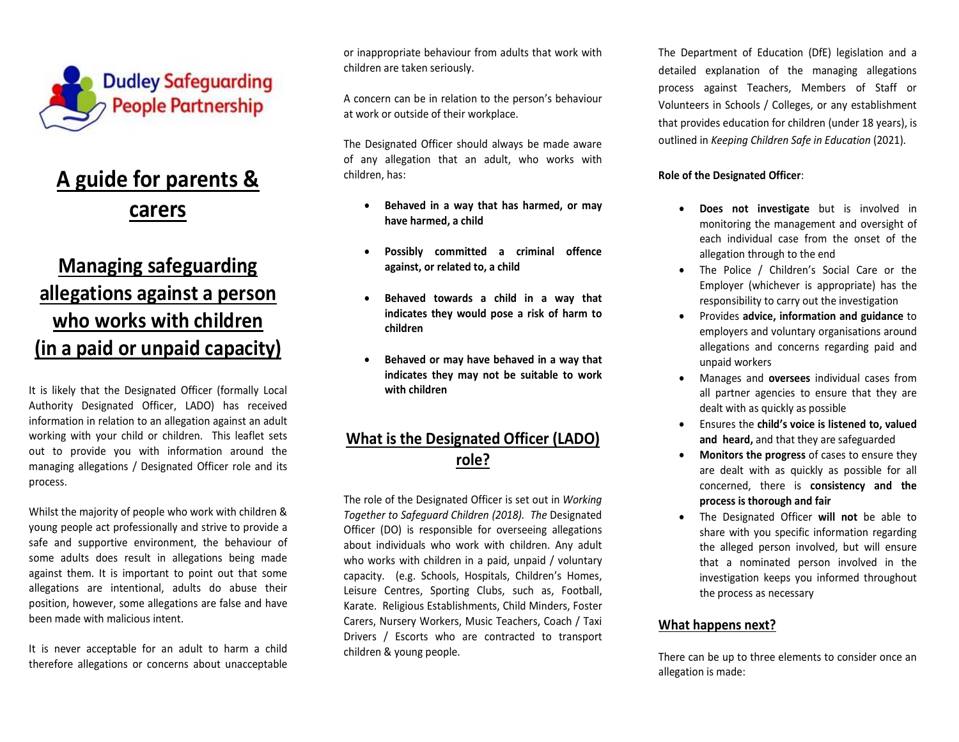

# **A guide for parents & carers**

# **Managing safeguarding allegations against a person who works with children (in a paid or unpaid capacity)**

It is likely that the Designated Officer (formally Local Authority Designated Officer, LADO) has received information in relation to an allegation against an adult working with your child or children. This leaflet sets out to provide you with information around the managing allegations / Designated Officer role and its process.

Whilst the majority of people who work with children & young people act professionally and strive to provide a safe and supportive environment, the behaviour of some adults does result in allegations being made against them. It is important to point out that some allegations are intentional, adults do abuse their position, however, some allegations are false and have been made with malicious intent.

It is never acceptable for an adult to harm a childtherefore allegations or concerns about unacceptable or inappropriate behaviour from adults that work with children are taken seriously.

A concern can be in relation to the person's behaviour at work or outside of their workplace.

The Designated Officer should always be made aware of any allegation that an adult, who works with children, has:

- $\bullet$  **Behaved in a way that has harmed, or may have harmed, a child**
- $\bullet$  **Possibly committed a criminal offence against, or related to, a child**
- $\bullet$  **Behaved towards a child in a way that indicates they would pose a risk of harm to children**
- $\bullet$  **Behaved or may have behaved in a way that indicates they may not be suitable to work with children**

## **What is the Designated Officer (LADO) role?**

The role of the Designated Officer is set out in *Working Together to Safeguard Children (2018). The* Designated Officer (DO) is responsible for overseeing allegations about individuals who work with children. Any adult who works with children in a paid, unpaid / voluntary capacity. (e.g. Schools, Hospitals, Children's Homes, Leisure Centres, Sporting Clubs, such as, Football,Karate. Religious Establishments, Child Minders, Foster Carers, Nursery Workers, Music Teachers, Coach / Taxi Drivers / Escorts who are contracted to transport children & young people.

The Department of Education (DfE) legislation and adetailed explanation of the managing allegations process against Teachers, Members of Staff or Volunteers in Schools / Colleges, or any establishment that provides education for children (under 18 years), is outlined in *Keeping Children Safe in Education* (2021).

### **Role of the Designated Officer**:

- 0 **Does not investigate** but is involved in monitoring the management and oversight of each individual case from the onset of the allegation through to the end
- $\bullet$  The Police / Children's Social Care or the Employer (whichever is appropriate) has the responsibility to carry out the investigation
- 0 Provides **advice, information and guidance** to employers and voluntary organisations around allegations and concerns regarding paid and unpaid workers
- e Manages and **oversees** individual cases from all partner agencies to ensure that they are dealt with as quickly as possible
- 0 Ensures the **child's voice is listened to, valued and heard,** and that they are safeguarded
- 0 **Monitors the progress** of cases to ensure they are dealt with as quickly as possible for all concerned, there is **consistency and the process is thorough and fair**
- O The Designated Officer **will not** be able to share with you specific information regarding the alleged person involved, but will ensure that a nominated person involved in the investigation keeps you informed throughout the process as necessary

### **What happens next?**

There can be up to three elements to consider once an allegation is made: